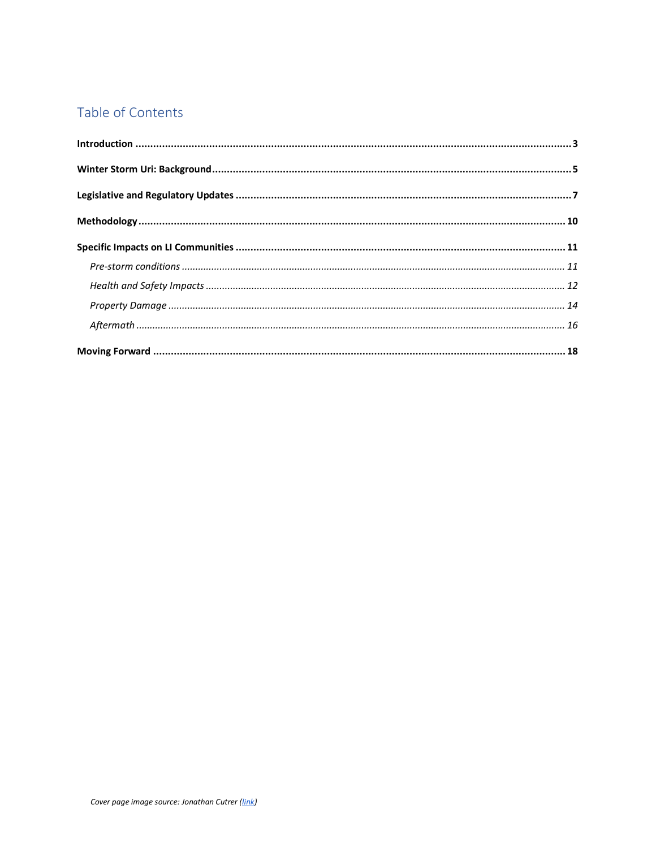## Table of Contents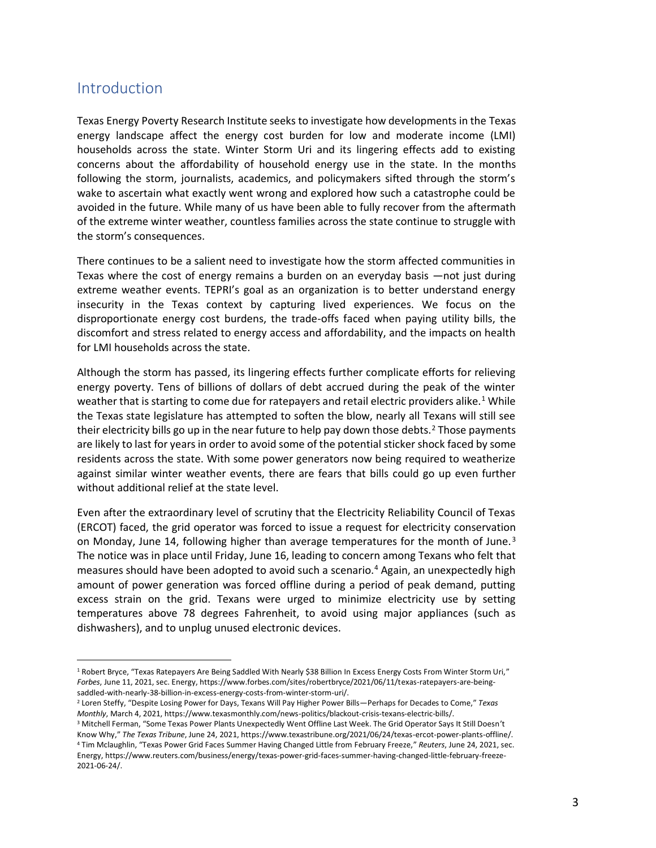### <span id="page-1-0"></span>**Introduction**

Texas Energy Poverty Research Institute seeks to investigate how developments in the Texas energy landscape affect the energy cost burden for low and moderate income (LMI) households across the state. Winter Storm Uri and its lingering effects add to existing concerns about the affordability of household energy use in the state. In the months following the storm, journalists, academics, and policymakers sifted through the storm's wake to ascertain what exactly went wrong and explored how such a catastrophe could be avoided in the future. While many of us have been able to fully recover from the aftermath of the extreme winter weather, countless families across the state continue to struggle with the storm's consequences.

There continues to be a salient need to investigate how the storm affected communities in Texas where the cost of energy remains a burden on an everyday basis —not just during extreme weather events. TEPRI's goal as an organization is to better understand energy insecurity in the Texas context by capturing lived experiences. We focus on the disproportionate energy cost burdens, the trade-offs faced when paying utility bills, the discomfort and stress related to energy access and affordability, and the impacts on health for LMI households across the state.

Although the storm has passed, its lingering effects further complicate efforts for relieving energy poverty. Tens of billions of dollars of debt accrued during the peak of the winter weather that is starting to come due for ratepayers and retail electric providers alike.<sup>1</sup> While the Texas state legislature has attempted to soften the blow, nearly all Texans will still see their electricity bills go up in the near future to help pay down those debts.<sup>2</sup> Those payments are likely to last for years in order to avoid some of the potential sticker shock faced by some residents across the state. With some power generators now being required to weatherize against similar winter weather events, there are fears that bills could go up even further without additional relief at the state level.

Even after the extraordinary level of scrutiny that the Electricity Reliability Council of Texas (ERCOT) faced, the grid operator was forced to issue a request for electricity conservation on Monday, June 14, following higher than average temperatures for the month of June.<sup>3</sup> The notice was in place until Friday, June 16, leading to concern among Texans who felt that measures should have been adopted to avoid such a scenario.<sup>4</sup> Again, an unexpectedly high amount of power generation was forced offline during a period of peak demand, putting excess strain on the grid. Texans were urged to minimize electricity use by setting temperatures above 78 degrees Fahrenheit, to avoid using major appliances (such as dishwashers), and to unplug unused electronic devices.

<sup>&</sup>lt;sup>1</sup> Robert Bryce, "Texas Ratepayers Are Being Saddled With Nearly \$38 Billion In Excess Energy Costs From Winter Storm Uri," *Forbes*, June 11, 2021, sec. Energy, https://www.forbes.com/sites/robertbryce/2021/06/11/texas-ratepayers-are-beingsaddled-with-nearly-38-billion-in-excess-energy-costs-from-winter-storm-uri/.

<sup>2</sup> Loren Steffy, "Despite Losing Power for Days, Texans Will Pay Higher Power Bills—Perhaps for Decades to Come," *Texas Monthly*, March 4, 2021, https://www.texasmonthly.com/news-politics/blackout-crisis-texans-electric-bills/.

<sup>&</sup>lt;sup>3</sup> Mitchell Ferman, "Some Texas Power Plants Unexpectedly Went Offline Last Week. The Grid Operator Says It Still Doesn't Know Why," *The Texas Tribune*, June 24, 2021, https://www.texastribune.org/2021/06/24/texas-ercot-power-plants-offline/. <sup>4</sup> Tim Mclaughlin, "Texas Power Grid Faces Summer Having Changed Little from February Freeze," *Reuters*, June 24, 2021, sec. Energy, https://www.reuters.com/business/energy/texas-power-grid-faces-summer-having-changed-little-february-freeze-2021-06-24/.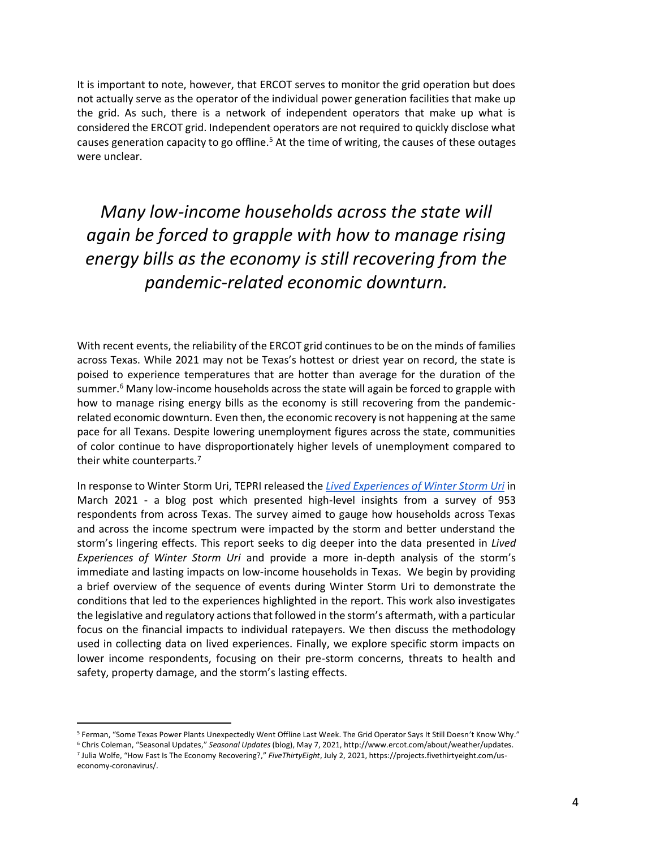It is important to note, however, that ERCOT serves to monitor the grid operation but does not actually serve as the operator of the individual power generation facilities that make up the grid. As such, there is a network of independent operators that make up what is considered the ERCOT grid. Independent operators are not required to quickly disclose what causes generation capacity to go offline.<sup>5</sup> At the time of writing, the causes of these outages were unclear.

*Many low-income households across the state will again be forced to grapple with how to manage rising energy bills as the economy is still recovering from the pandemic-related economic downturn.*

With recent events, the reliability of the ERCOT grid continues to be on the minds of families across Texas. While 2021 may not be Texas's hottest or driest year on record, the state is poised to experience temperatures that are hotter than average for the duration of the summer.<sup>6</sup> Many low-income households across the state will again be forced to grapple with how to manage rising energy bills as the economy is still recovering from the pandemicrelated economic downturn. Even then, the economic recovery is not happening at the same pace for all Texans. Despite lowering unemployment figures across the state, communities of color continue to have disproportionately higher levels of unemployment compared to their white counterparts.<sup>7</sup>

In response to Winter Storm Uri, TEPRI released the *[Lived Experiences of Winter Storm Uri](https://txenergypoverty.org/2021/03/blog-lived-experiences-of-winter-storm-uri/)* in March 2021 - a blog post which presented high-level insights from a survey of 953 respondents from across Texas. The survey aimed to gauge how households across Texas and across the income spectrum were impacted by the storm and better understand the storm's lingering effects. This report seeks to dig deeper into the data presented in *Lived Experiences of Winter Storm Uri* and provide a more in-depth analysis of the storm's immediate and lasting impacts on low-income households in Texas. We begin by providing a brief overview of the sequence of events during Winter Storm Uri to demonstrate the conditions that led to the experiences highlighted in the report. This work also investigates the legislative and regulatory actions that followed in the storm's aftermath, with a particular focus on the financial impacts to individual ratepayers. We then discuss the methodology used in collecting data on lived experiences. Finally, we explore specific storm impacts on lower income respondents, focusing on their pre-storm concerns, threats to health and safety, property damage, and the storm's lasting effects.

<sup>5</sup> Ferman, "Some Texas Power Plants Unexpectedly Went Offline Last Week. The Grid Operator Says It Still Doesn't Know Why."

<sup>6</sup> Chris Coleman, "Seasonal Updates," *Seasonal Updates* (blog), May 7, 2021, http://www.ercot.com/about/weather/updates. 7 Julia Wolfe, "How Fast Is The Economy Recovering?," *FiveThirtyEight*, July 2, 2021, https://projects.fivethirtyeight.com/useconomy-coronavirus/.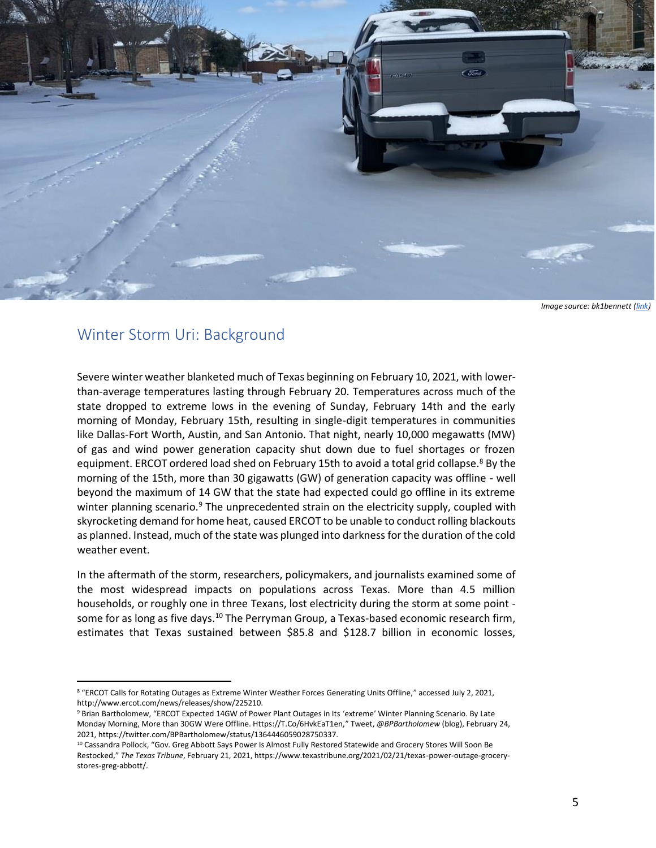<span id="page-3-0"></span>

*Image source: bk1bennett [\(link\)](https://www.flickr.com/photos/bk1bennett/50946014033/in/photolist-2kBVD3i-2kBuNCp-2kBuLLD-2kBuLJV-2kBuLFP-2kBqk7A-2kBqjXc-2kBmd5D-2kBmcWY-2kB6ELh-2kv1vqX-2kv1uZS-2kv1tJf-2kv1tC8-2kv1tw1-2kuH45Q-2kuH3C2-2kuLFxg-2kuMcAJ-2kv5EvM-2kuLFAs-2kuLFza-2kuMcJu-2kuLFrp-2kuMcAD-2kuLFjR-2kuLFit-2kuH2JJ-2kuMcmF-2kuKcjV-2kuFxEu-2kuKJjg-2kuKBVV-2ktjcpa-2kqZEKp-2kr2q7r-2kqZf6H-2kqZwH1-2knuuLN-2kiXpt7-2kboBNW-2k5doyQ-2k5douB-2k5e181-2k5e148-2k59zec-2k5dZWj-2k5dZSm-2k1stu8-2k1sttg)*

## Winter Storm Uri: Background

Severe winter weather blanketed much of Texas beginning on February 10, 2021, with lowerthan-average temperatures lasting through February 20. Temperatures across much of the state dropped to extreme lows in the evening of Sunday, February 14th and the early morning of Monday, February 15th, resulting in single-digit temperatures in communities like Dallas-Fort Worth, Austin, and San Antonio. That night, nearly 10,000 megawatts (MW) of gas and wind power generation capacity shut down due to fuel shortages or frozen equipment. ERCOT ordered load shed on February 15th to avoid a total grid collapse.<sup>8</sup> By the morning of the 15th, more than 30 gigawatts (GW) of generation capacity was offline - well beyond the maximum of 14 GW that the state had expected could go offline in its extreme winter planning scenario.<sup>9</sup> The unprecedented strain on the electricity supply, coupled with skyrocketing demand for home heat, caused ERCOT to be unable to conduct rolling blackouts as planned. Instead, much of the state was plunged into darkness for the duration of the cold weather event.

In the aftermath of the storm, researchers, policymakers, and journalists examined some of the most widespread impacts on populations across Texas. More than 4.5 million households, or roughly one in three Texans, lost electricity during the storm at some point some for as long as five days.<sup>10</sup> The Perryman Group, a Texas-based economic research firm, estimates that Texas sustained between \$85.8 and \$128.7 billion in economic losses,

<sup>&</sup>lt;sup>8</sup> "ERCOT Calls for Rotating Outages as Extreme Winter Weather Forces Generating Units Offline," accessed July 2, 2021, http://www.ercot.com/news/releases/show/225210.

<sup>9</sup> Brian Bartholomew, "ERCOT Expected 14GW of Power Plant Outages in Its 'extreme' Winter Planning Scenario. By Late Monday Morning, More than 30GW Were Offline. Https://T.Co/6HvkEaT1en," Tweet, *@BPBartholomew* (blog), February 24, 2021, https://twitter.com/BPBartholomew/status/1364446059028750337.

<sup>&</sup>lt;sup>10</sup> Cassandra Pollock, "Gov. Greg Abbott Says Power Is Almost Fully Restored Statewide and Grocery Stores Will Soon Be Restocked," *The Texas Tribune*, February 21, 2021, https://www.texastribune.org/2021/02/21/texas-power-outage-grocerystores-greg-abbott/.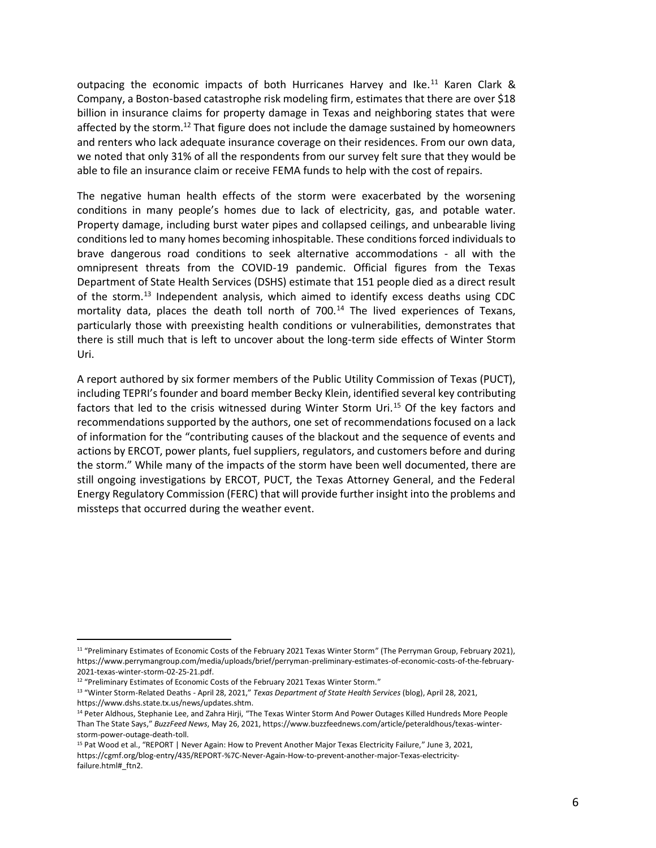outpacing the economic impacts of both Hurricanes Harvey and Ike.<sup>11</sup> Karen Clark & Company, a Boston-based catastrophe risk modeling firm, estimates that there are over \$18 billion in insurance claims for property damage in Texas and neighboring states that were affected by the storm.<sup>12</sup> That figure does not include the damage sustained by homeowners and renters who lack adequate insurance coverage on their residences. From our own data, we noted that only 31% of all the respondents from our survey felt sure that they would be able to file an insurance claim or receive FEMA funds to help with the cost of repairs.

The negative human health effects of the storm were exacerbated by the worsening conditions in many people's homes due to lack of electricity, gas, and potable water. Property damage, including burst water pipes and collapsed ceilings, and unbearable living conditions led to many homes becoming inhospitable. These conditions forced individuals to brave dangerous road conditions to seek alternative accommodations - all with the omnipresent threats from the COVID-19 pandemic. Official figures from the Texas Department of State Health Services (DSHS) estimate that 151 people died as a direct result of the storm.<sup>13</sup> Independent analysis, which aimed to identify excess deaths using CDC mortality data, places the death toll north of  $700.<sup>14</sup>$  The lived experiences of Texans, particularly those with preexisting health conditions or vulnerabilities, demonstrates that there is still much that is left to uncover about the long-term side effects of Winter Storm Uri.

A report authored by six former members of the Public Utility Commission of Texas (PUCT), including TEPRI's founder and board member Becky Klein, identified several key contributing factors that led to the crisis witnessed during Winter Storm Uri.<sup>15</sup> Of the key factors and recommendations supported by the authors, one set of recommendations focused on a lack of information for the "contributing causes of the blackout and the sequence of events and actions by ERCOT, power plants, fuel suppliers, regulators, and customers before and during the storm." While many of the impacts of the storm have been well documented, there are still ongoing investigations by ERCOT, PUCT, the Texas Attorney General, and the Federal Energy Regulatory Commission (FERC) that will provide further insight into the problems and missteps that occurred during the weather event.

<sup>&</sup>lt;sup>11</sup> "Preliminary Estimates of Economic Costs of the February 2021 Texas Winter Storm" (The Perryman Group, February 2021), https://www.perrymangroup.com/media/uploads/brief/perryman-preliminary-estimates-of-economic-costs-of-the-february-2021-texas-winter-storm-02-25-21.pdf.

<sup>&</sup>lt;sup>12</sup> "Preliminary Estimates of Economic Costs of the February 2021 Texas Winter Storm."

<sup>13</sup> "Winter Storm-Related Deaths - April 28, 2021," *Texas Department of State Health Services* (blog), April 28, 2021, https://www.dshs.state.tx.us/news/updates.shtm.

<sup>&</sup>lt;sup>14</sup> Peter Aldhous, Stephanie Lee, and Zahra Hirji, "The Texas Winter Storm And Power Outages Killed Hundreds More People Than The State Says," *BuzzFeed News*, May 26, 2021, https://www.buzzfeednews.com/article/peteraldhous/texas-winterstorm-power-outage-death-toll.

<sup>15</sup> Pat Wood et al., "REPORT | Never Again: How to Prevent Another Major Texas Electricity Failure," June 3, 2021, https://cgmf.org/blog-entry/435/REPORT-%7C-Never-Again-How-to-prevent-another-major-Texas-electricityfailure.html#\_ftn2.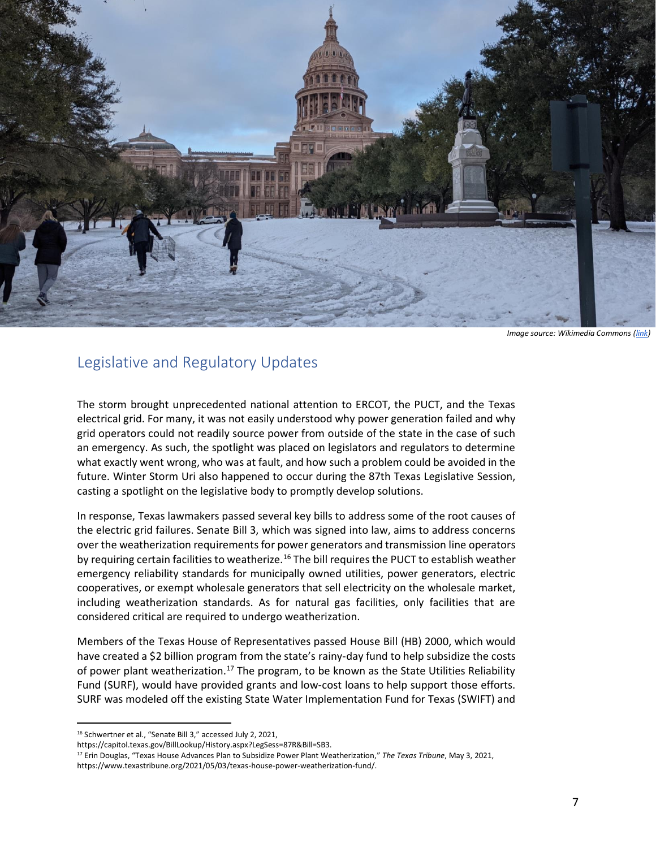

*Image source: Wikimedia Commons [\(link\)](https://commons.wikimedia.org/wiki/File:Snow_covering_the_hill_leading_to_the_Texas_Capitol.jpg)*

## <span id="page-5-0"></span>Legislative and Regulatory Updates

The storm brought unprecedented national attention to ERCOT, the PUCT, and the Texas electrical grid. For many, it was not easily understood why power generation failed and why grid operators could not readily source power from outside of the state in the case of such an emergency. As such, the spotlight was placed on legislators and regulators to determine what exactly went wrong, who was at fault, and how such a problem could be avoided in the future. Winter Storm Uri also happened to occur during the 87th Texas Legislative Session, casting a spotlight on the legislative body to promptly develop solutions.

In response, Texas lawmakers passed several key bills to address some of the root causes of the electric grid failures. Senate Bill 3, which was signed into law, aims to address concerns over the weatherization requirements for power generators and transmission line operators by requiring certain facilities to weatherize.<sup>16</sup> The bill requires the PUCT to establish weather emergency reliability standards for municipally owned utilities, power generators, electric cooperatives, or exempt wholesale generators that sell electricity on the wholesale market, including weatherization standards. As for natural gas facilities, only facilities that are considered critical are required to undergo weatherization.

Members of the Texas House of Representatives passed House Bill (HB) 2000, which would have created a \$2 billion program from the state's rainy-day fund to help subsidize the costs of power plant weatherization.<sup>17</sup> The program, to be known as the State Utilities Reliability Fund (SURF), would have provided grants and low-cost loans to help support those efforts. SURF was modeled off the existing State Water Implementation Fund for Texas (SWIFT) and

<sup>16</sup> Schwertner et al., "Senate Bill 3," accessed July 2, 2021,

https://capitol.texas.gov/BillLookup/History.aspx?LegSess=87R&Bill=SB3.

<sup>17</sup> Erin Douglas, "Texas House Advances Plan to Subsidize Power Plant Weatherization," *The Texas Tribune*, May 3, 2021, https://www.texastribune.org/2021/05/03/texas-house-power-weatherization-fund/.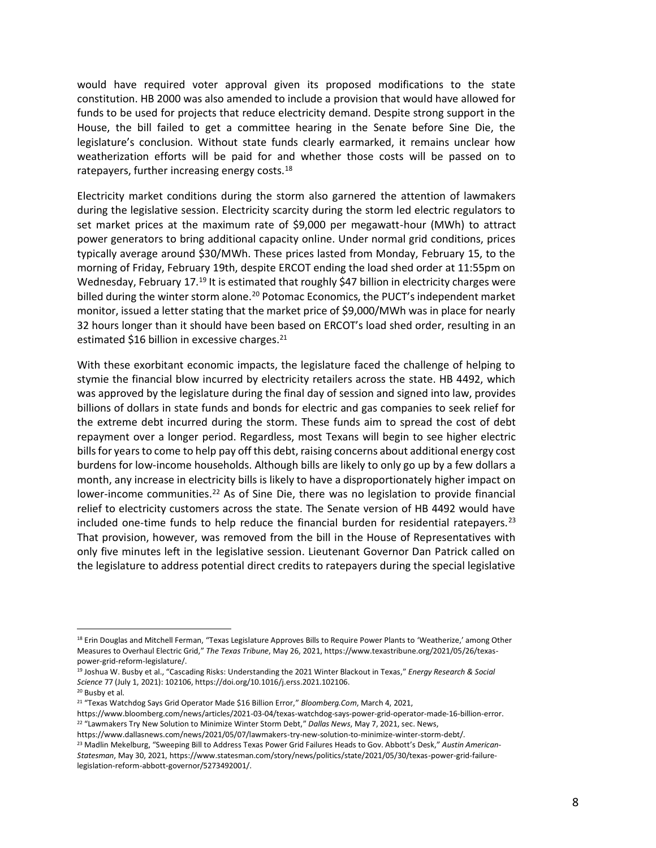would have required voter approval given its proposed modifications to the state constitution. HB 2000 was also amended to include a provision that would have allowed for funds to be used for projects that reduce electricity demand. Despite strong support in the House, the bill failed to get a committee hearing in the Senate before Sine Die, the legislature's conclusion. Without state funds clearly earmarked, it remains unclear how weatherization efforts will be paid for and whether those costs will be passed on to ratepayers, further increasing energy costs.<sup>18</sup>

Electricity market conditions during the storm also garnered the attention of lawmakers during the legislative session. Electricity scarcity during the storm led electric regulators to set market prices at the maximum rate of \$9,000 per megawatt-hour (MWh) to attract power generators to bring additional capacity online. Under normal grid conditions, prices typically average around \$30/MWh. These prices lasted from Monday, February 15, to the morning of Friday, February 19th, despite ERCOT ending the load shed order at 11:55pm on Wednesday, February 17.<sup>19</sup> It is estimated that roughly \$47 billion in electricity charges were billed during the winter storm alone.<sup>20</sup> Potomac Economics, the PUCT's independent market monitor, issued a letter stating that the market price of \$9,000/MWh was in place for nearly 32 hours longer than it should have been based on ERCOT's load shed order, resulting in an estimated \$16 billion in excessive charges. $21$ 

With these exorbitant economic impacts, the legislature faced the challenge of helping to stymie the financial blow incurred by electricity retailers across the state. HB 4492, which was approved by the legislature during the final day of session and signed into law, provides billions of dollars in state funds and bonds for electric and gas companies to seek relief for the extreme debt incurred during the storm. These funds aim to spread the cost of debt repayment over a longer period. Regardless, most Texans will begin to see higher electric bills for years to come to help pay off this debt, raising concerns about additional energy cost burdens for low-income households. Although bills are likely to only go up by a few dollars a month, any increase in electricity bills is likely to have a disproportionately higher impact on lower-income communities.<sup>22</sup> As of Sine Die, there was no legislation to provide financial relief to electricity customers across the state. The Senate version of HB 4492 would have included one-time funds to help reduce the financial burden for residential ratepayers.<sup>23</sup> That provision, however, was removed from the bill in the House of Representatives with only five minutes left in the legislative session. Lieutenant Governor Dan Patrick called on the legislature to address potential direct credits to ratepayers during the special legislative

<sup>&</sup>lt;sup>18</sup> Erin Douglas and Mitchell Ferman, "Texas Legislature Approves Bills to Require Power Plants to 'Weatherize,' among Other Measures to Overhaul Electric Grid," *The Texas Tribune*, May 26, 2021, https://www.texastribune.org/2021/05/26/texaspower-grid-reform-legislature/.

<sup>19</sup> Joshua W. Busby et al., "Cascading Risks: Understanding the 2021 Winter Blackout in Texas," *Energy Research & Social Science* 77 (July 1, 2021): 102106, https://doi.org/10.1016/j.erss.2021.102106.

<sup>20</sup> Busby et al.

<sup>21</sup> "Texas Watchdog Says Grid Operator Made \$16 Billion Error," *Bloomberg.Com*, March 4, 2021, https://www.bloomberg.com/news/articles/2021-03-04/texas-watchdog-says-power-grid-operator-made-16-billion-error.

<sup>22</sup> "Lawmakers Try New Solution to Minimize Winter Storm Debt," *Dallas News*, May 7, 2021, sec. News,

https://www.dallasnews.com/news/2021/05/07/lawmakers-try-new-solution-to-minimize-winter-storm-debt/.

<sup>23</sup> Madlin Mekelburg, "Sweeping Bill to Address Texas Power Grid Failures Heads to Gov. Abbott's Desk," *Austin American-Statesman*, May 30, 2021, https://www.statesman.com/story/news/politics/state/2021/05/30/texas-power-grid-failurelegislation-reform-abbott-governor/5273492001/.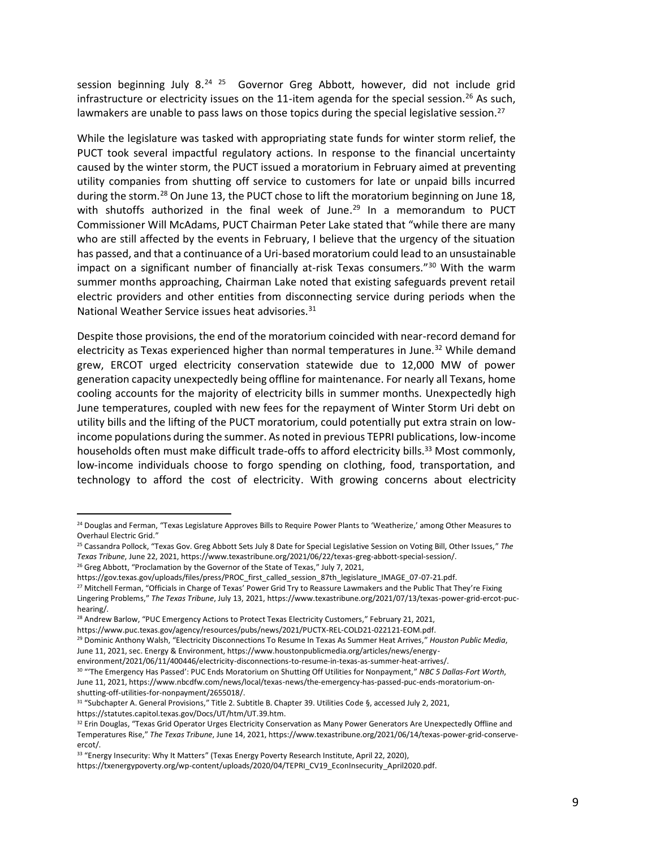session beginning July 8.<sup>24 25</sup> Governor Greg Abbott, however, did not include grid infrastructure or electricity issues on the 11-item agenda for the special session.<sup>26</sup> As such, lawmakers are unable to pass laws on those topics during the special legislative session.<sup>27</sup>

While the legislature was tasked with appropriating state funds for winter storm relief, the PUCT took several impactful regulatory actions. In response to the financial uncertainty caused by the winter storm, the PUCT issued a moratorium in February aimed at preventing utility companies from shutting off service to customers for late or unpaid bills incurred during the storm.<sup>28</sup> On June 13, the PUCT chose to lift the moratorium beginning on June 18, with shutoffs authorized in the final week of June. $^{29}$  In a memorandum to PUCT Commissioner Will McAdams, PUCT Chairman Peter Lake stated that "while there are many who are still affected by the events in February, I believe that the urgency of the situation has passed, and that a continuance of a Uri-based moratorium could lead to an unsustainable impact on a significant number of financially at-risk Texas consumers."<sup>30</sup> With the warm summer months approaching, Chairman Lake noted that existing safeguards prevent retail electric providers and other entities from disconnecting service during periods when the National Weather Service issues heat advisories.<sup>31</sup>

Despite those provisions, the end of the moratorium coincided with near-record demand for electricity as Texas experienced higher than normal temperatures in June.<sup>32</sup> While demand grew, ERCOT urged electricity conservation statewide due to 12,000 MW of power generation capacity unexpectedly being offline for maintenance. For nearly all Texans, home cooling accounts for the majority of electricity bills in summer months. Unexpectedly high June temperatures, coupled with new fees for the repayment of Winter Storm Uri debt on utility bills and the lifting of the PUCT moratorium, could potentially put extra strain on lowincome populations during the summer. As noted in previous TEPRI publications, low-income households often must make difficult trade-offs to afford electricity bills.<sup>33</sup> Most commonly, low-income individuals choose to forgo spending on clothing, food, transportation, and technology to afford the cost of electricity. With growing concerns about electricity

<sup>&</sup>lt;sup>24</sup> Douglas and Ferman, "Texas Legislature Approves Bills to Require Power Plants to 'Weatherize,' among Other Measures to Overhaul Electric Grid."

<sup>25</sup> Cassandra Pollock, "Texas Gov. Greg Abbott Sets July 8 Date for Special Legislative Session on Voting Bill, Other Issues," *The Texas Tribune*, June 22, 2021, https://www.texastribune.org/2021/06/22/texas-greg-abbott-special-session/.

<sup>&</sup>lt;sup>26</sup> Greg Abbott, "Proclamation by the Governor of the State of Texas," July 7, 2021,

https://gov.texas.gov/uploads/files/press/PROC\_first\_called\_session\_87th\_legislature\_IMAGE\_07-07-21.pdf.

<sup>&</sup>lt;sup>27</sup> Mitchell Ferman, "Officials in Charge of Texas' Power Grid Try to Reassure Lawmakers and the Public That They're Fixing Lingering Problems," *The Texas Tribune*, July 13, 2021, https://www.texastribune.org/2021/07/13/texas-power-grid-ercot-puchearing/.

<sup>&</sup>lt;sup>28</sup> Andrew Barlow, "PUC Emergency Actions to Protect Texas Electricity Customers," February 21, 2021,

https://www.puc.texas.gov/agency/resources/pubs/news/2021/PUCTX-REL-COLD21-022121-EOM.pdf.

<sup>29</sup> Dominic Anthony Walsh, "Electricity Disconnections To Resume In Texas As Summer Heat Arrives," *Houston Public Media*,

June 11, 2021, sec. Energy & Environment, https://www.houstonpublicmedia.org/articles/news/energy-

environment/2021/06/11/400446/electricity-disconnections-to-resume-in-texas-as-summer-heat-arrives/.

<sup>30</sup> "'The Emergency Has Passed': PUC Ends Moratorium on Shutting Off Utilities for Nonpayment," *NBC 5 Dallas-Fort Worth*, June 11, 2021, https://www.nbcdfw.com/news/local/texas-news/the-emergency-has-passed-puc-ends-moratorium-onshutting-off-utilities-for-nonpayment/2655018/.

<sup>31</sup> "Subchapter A. General Provisions," Title 2. Subtitle B. Chapter 39. Utilities Code §, accessed July 2, 2021, https://statutes.capitol.texas.gov/Docs/UT/htm/UT.39.htm.

<sup>&</sup>lt;sup>32</sup> Erin Douglas, "Texas Grid Operator Urges Electricity Conservation as Many Power Generators Are Unexpectedly Offline and Temperatures Rise," *The Texas Tribune*, June 14, 2021, https://www.texastribune.org/2021/06/14/texas-power-grid-conserveercot/.

<sup>&</sup>lt;sup>33</sup> "Energy Insecurity: Why It Matters" (Texas Energy Poverty Research Institute, April 22, 2020),

https://txenergypoverty.org/wp-content/uploads/2020/04/TEPRI\_CV19\_EconInsecurity\_April2020.pdf.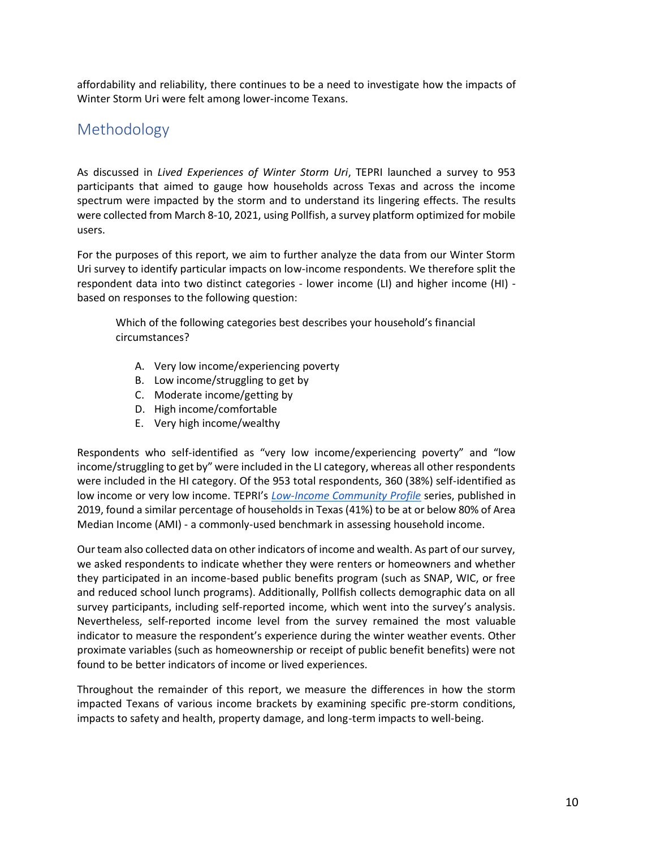affordability and reliability, there continues to be a need to investigate how the impacts of Winter Storm Uri were felt among lower-income Texans.

# <span id="page-8-0"></span>Methodology

As discussed in *Lived Experiences of Winter Storm Uri*, TEPRI launched a survey to 953 participants that aimed to gauge how households across Texas and across the income spectrum were impacted by the storm and to understand its lingering effects. The results were collected from March 8-10, 2021, using Pollfish, a survey platform optimized for mobile users.

For the purposes of this report, we aim to further analyze the data from our Winter Storm Uri survey to identify particular impacts on low-income respondents. We therefore split the respondent data into two distinct categories - lower income (LI) and higher income (HI) based on responses to the following question:

Which of the following categories best describes your household's financial circumstances?

- A. Very low income/experiencing poverty
- B. Low income/struggling to get by
- C. Moderate income/getting by
- D. High income/comfortable
- E. Very high income/wealthy

Respondents who self-identified as "very low income/experiencing poverty" and "low income/struggling to get by" were included in the LI category, whereas all other respondents were included in the HI category. Of the 953 total respondents, 360 (38%) self-identified as low income or very low income. TEPRI's *[Low-Income Community Profile](https://txenergypoverty.org/wp-content/uploads/2019/06/TEPRI_LICPTexasOverview_August2019_REVISION_v3.pdf)* series, published in 2019, found a similar percentage of households in Texas (41%) to be at or below 80% of Area Median Income (AMI) - a commonly-used benchmark in assessing household income.

Our team also collected data on other indicators of income and wealth. As part of our survey, we asked respondents to indicate whether they were renters or homeowners and whether they participated in an income-based public benefits program (such as SNAP, WIC, or free and reduced school lunch programs). Additionally, Pollfish collects demographic data on all survey participants, including self-reported income, which went into the survey's analysis. Nevertheless, self-reported income level from the survey remained the most valuable indicator to measure the respondent's experience during the winter weather events. Other proximate variables (such as homeownership or receipt of public benefit benefits) were not found to be better indicators of income or lived experiences.

Throughout the remainder of this report, we measure the differences in how the storm impacted Texans of various income brackets by examining specific pre-storm conditions, impacts to safety and health, property damage, and long-term impacts to well-being.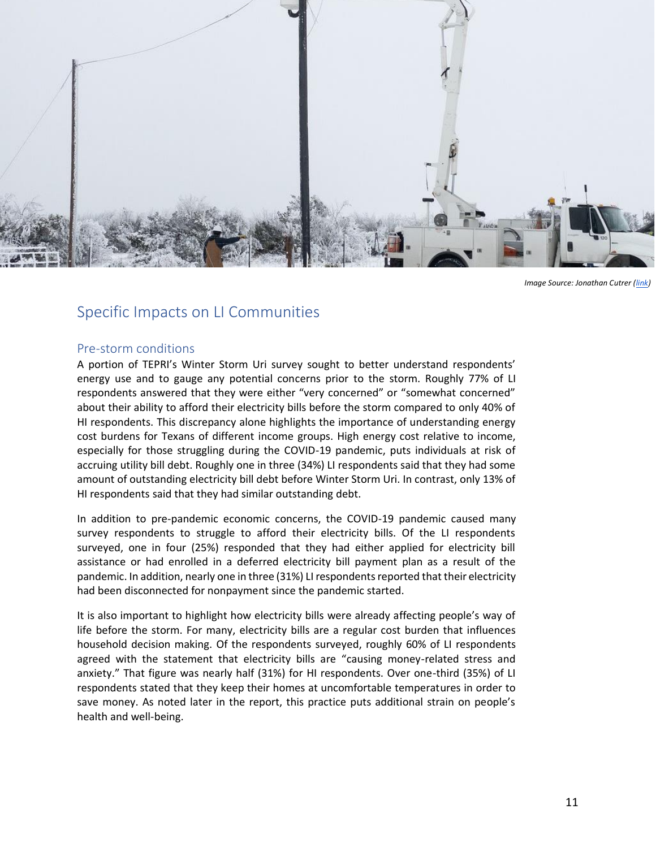

*Image Source: Jonathan Cutrer [\(link\)](https://www.flickr.com/photos/joncutrer/50975248406)*

### <span id="page-9-0"></span>Specific Impacts on LI Communities

#### <span id="page-9-1"></span>Pre-storm conditions

A portion of TEPRI's Winter Storm Uri survey sought to better understand respondents' energy use and to gauge any potential concerns prior to the storm. Roughly 77% of LI respondents answered that they were either "very concerned" or "somewhat concerned" about their ability to afford their electricity bills before the storm compared to only 40% of HI respondents. This discrepancy alone highlights the importance of understanding energy cost burdens for Texans of different income groups. High energy cost relative to income, especially for those struggling during the COVID-19 pandemic, puts individuals at risk of accruing utility bill debt. Roughly one in three (34%) LI respondents said that they had some amount of outstanding electricity bill debt before Winter Storm Uri. In contrast, only 13% of HI respondents said that they had similar outstanding debt.

In addition to pre-pandemic economic concerns, the COVID-19 pandemic caused many survey respondents to struggle to afford their electricity bills. Of the LI respondents surveyed, one in four (25%) responded that they had either applied for electricity bill assistance or had enrolled in a deferred electricity bill payment plan as a result of the pandemic. In addition, nearly one in three (31%) LI respondents reported that their electricity had been disconnected for nonpayment since the pandemic started.

It is also important to highlight how electricity bills were already affecting people's way of life before the storm. For many, electricity bills are a regular cost burden that influences household decision making. Of the respondents surveyed, roughly 60% of LI respondents agreed with the statement that electricity bills are "causing money-related stress and anxiety." That figure was nearly half (31%) for HI respondents. Over one-third (35%) of LI respondents stated that they keep their homes at uncomfortable temperatures in order to save money. As noted later in the report, this practice puts additional strain on people's health and well-being.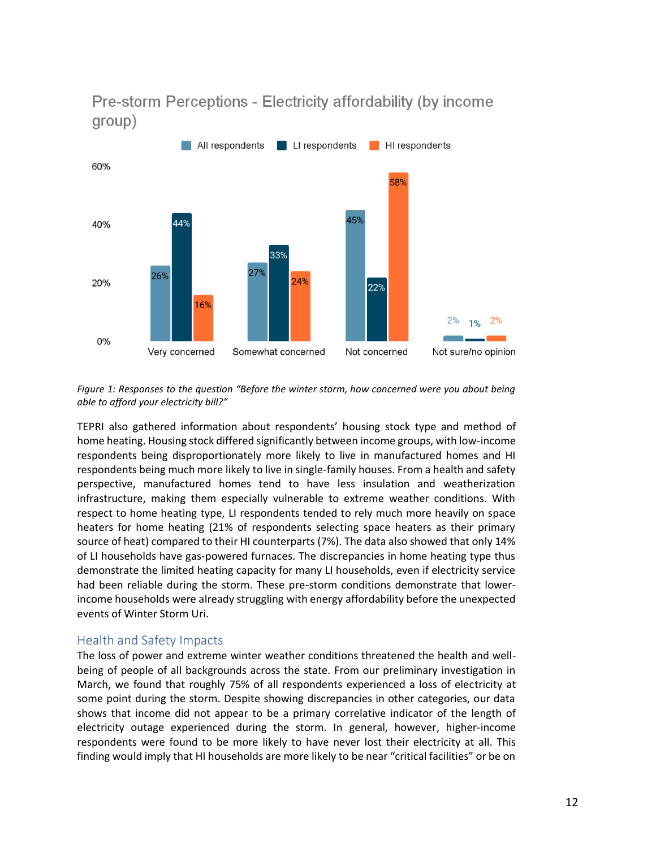

Pre-storm Perceptions - Electricity affordability (by income group)

*Figure 1: Responses to the question "Before the winter storm, how concerned were you about being able to afford your electricity bill?"*

TEPRI also gathered information about respondents' housing stock type and method of home heating. Housing stock differed significantly between income groups, with low-income respondents being disproportionately more likely to live in manufactured homes and HI respondents being much more likely to live in single-family houses. From a health and safety perspective, manufactured homes tend to have less insulation and weatherization infrastructure, making them especially vulnerable to extreme weather conditions. With respect to home heating type, LI respondents tended to rely much more heavily on space heaters for home heating (21% of respondents selecting space heaters as their primary source of heat) compared to their HI counterparts (7%). The data also showed that only 14% of LI households have gas-powered furnaces. The discrepancies in home heating type thus demonstrate the limited heating capacity for many LI households, even if electricity service had been reliable during the storm. These pre-storm conditions demonstrate that lowerincome households were already struggling with energy affordability before the unexpected events of Winter Storm Uri.

### <span id="page-10-0"></span>Health and Safety Impacts

The loss of power and extreme winter weather conditions threatened the health and wellbeing of people of all backgrounds across the state. From our preliminary investigation in March, we found that roughly 75% of all respondents experienced a loss of electricity at some point during the storm. Despite showing discrepancies in other categories, our data shows that income did not appear to be a primary correlative indicator of the length of electricity outage experienced during the storm. In general, however, higher-income respondents were found to be more likely to have never lost their electricity at all. This finding would imply that HI households are more likely to be near "critical facilities" or be on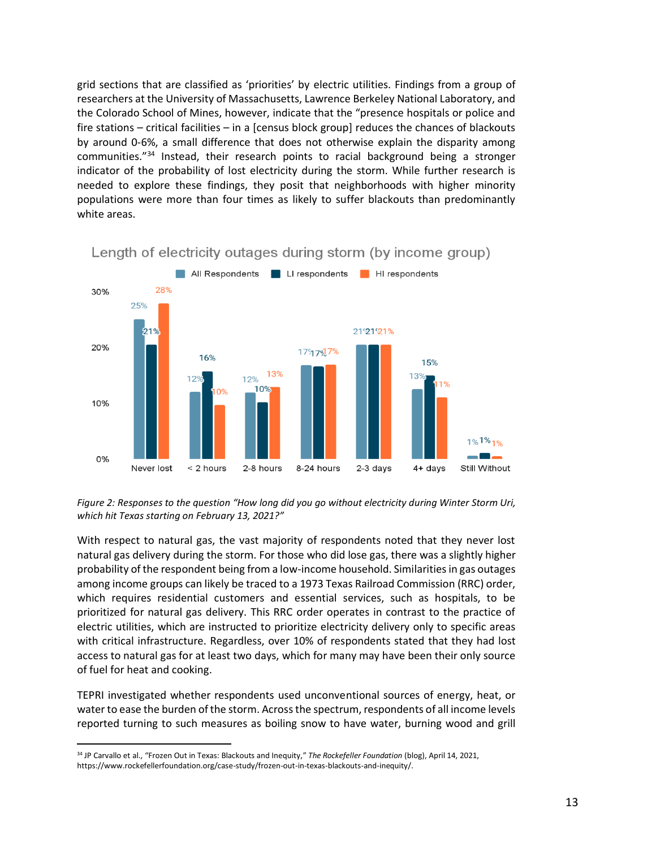grid sections that are classified as 'priorities' by electric utilities. Findings from a group of researchers at the University of Massachusetts, Lawrence Berkeley National Laboratory, and the Colorado School of Mines, however, indicate that the "presence hospitals or police and fire stations – critical facilities – in a [census block group] reduces the chances of blackouts by around 0-6%, a small difference that does not otherwise explain the disparity among communities."<sup>34</sup> Instead, their research points to racial background being a stronger indicator of the probability of lost electricity during the storm. While further research is needed to explore these findings, they posit that neighborhoods with higher minority populations were more than four times as likely to suffer blackouts than predominantly white areas.



Length of electricity outages during storm (by income group)

*Figure 2: Responses to the question "How long did you go without electricity during Winter Storm Uri, which hit Texas starting on February 13, 2021?"*

With respect to natural gas, the vast majority of respondents noted that they never lost natural gas delivery during the storm. For those who did lose gas, there was a slightly higher probability of the respondent being from a low-income household. Similarities in gas outages among income groups can likely be traced to a 1973 Texas Railroad Commission (RRC) order, which requires residential customers and essential services, such as hospitals, to be prioritized for natural gas delivery. This RRC order operates in contrast to the practice of electric utilities, which are instructed to prioritize electricity delivery only to specific areas with critical infrastructure. Regardless, over 10% of respondents stated that they had lost access to natural gas for at least two days, which for many may have been their only source of fuel for heat and cooking.

TEPRI investigated whether respondents used unconventional sources of energy, heat, or water to ease the burden of the storm. Across the spectrum, respondents of all income levels reported turning to such measures as boiling snow to have water, burning wood and grill

<sup>34</sup> JP Carvallo et al., "Frozen Out in Texas: Blackouts and Inequity," *The Rockefeller Foundation* (blog), April 14, 2021, https://www.rockefellerfoundation.org/case-study/frozen-out-in-texas-blackouts-and-inequity/.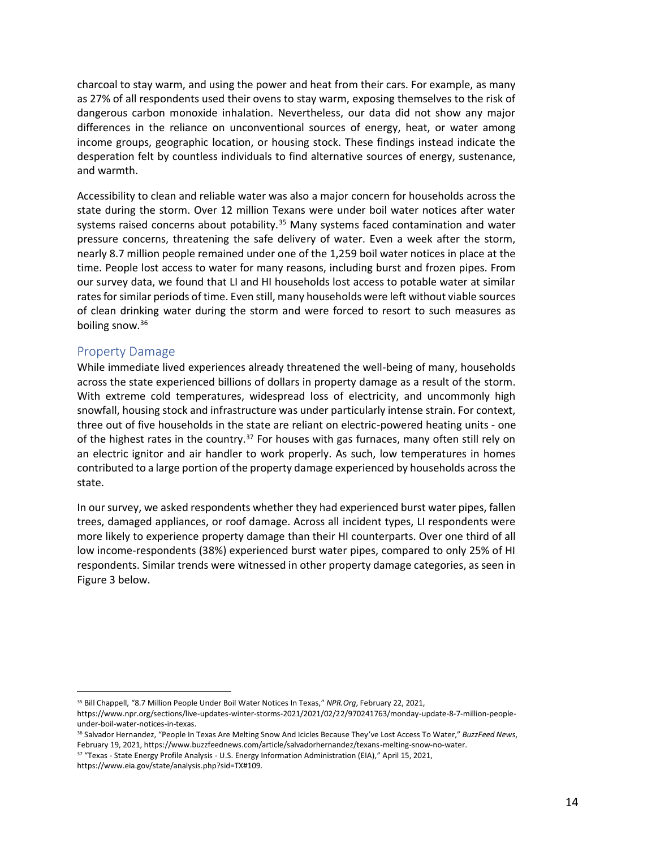charcoal to stay warm, and using the power and heat from their cars. For example, as many as 27% of all respondents used their ovens to stay warm, exposing themselves to the risk of dangerous carbon monoxide inhalation. Nevertheless, our data did not show any major differences in the reliance on unconventional sources of energy, heat, or water among income groups, geographic location, or housing stock. These findings instead indicate the desperation felt by countless individuals to find alternative sources of energy, sustenance, and warmth.

Accessibility to clean and reliable water was also a major concern for households across the state during the storm. Over 12 million Texans were under boil water notices after water systems raised concerns about potability. $35$  Many systems faced contamination and water pressure concerns, threatening the safe delivery of water. Even a week after the storm, nearly 8.7 million people remained under one of the 1,259 boil water notices in place at the time. People lost access to water for many reasons, including burst and frozen pipes. From our survey data, we found that LI and HI households lost access to potable water at similar rates for similar periods of time. Even still, many households were left without viable sources of clean drinking water during the storm and were forced to resort to such measures as boiling snow.<sup>36</sup>

### <span id="page-12-0"></span>Property Damage

While immediate lived experiences already threatened the well-being of many, households across the state experienced billions of dollars in property damage as a result of the storm. With extreme cold temperatures, widespread loss of electricity, and uncommonly high snowfall, housing stock and infrastructure was under particularly intense strain. For context, three out of five households in the state are reliant on electric-powered heating units - one of the highest rates in the country.<sup>37</sup> For houses with gas furnaces, many often still rely on an electric ignitor and air handler to work properly. As such, low temperatures in homes contributed to a large portion of the property damage experienced by households across the state.

In our survey, we asked respondents whether they had experienced burst water pipes, fallen trees, damaged appliances, or roof damage. Across all incident types, LI respondents were more likely to experience property damage than their HI counterparts. Over one third of all low income-respondents (38%) experienced burst water pipes, compared to only 25% of HI respondents. Similar trends were witnessed in other property damage categories, as seen in Figure 3 below.

<sup>35</sup> Bill Chappell, "8.7 Million People Under Boil Water Notices In Texas," *NPR.Org*, February 22, 2021,

https://www.npr.org/sections/live-updates-winter-storms-2021/2021/02/22/970241763/monday-update-8-7-million-peopleunder-boil-water-notices-in-texas.

<sup>36</sup> Salvador Hernandez, "People In Texas Are Melting Snow And Icicles Because They've Lost Access To Water," *BuzzFeed News*, February 19, 2021, https://www.buzzfeednews.com/article/salvadorhernandez/texans-melting-snow-no-water.

<sup>37</sup> "Texas - State Energy Profile Analysis - U.S. Energy Information Administration (EIA)," April 15, 2021, https://www.eia.gov/state/analysis.php?sid=TX#109.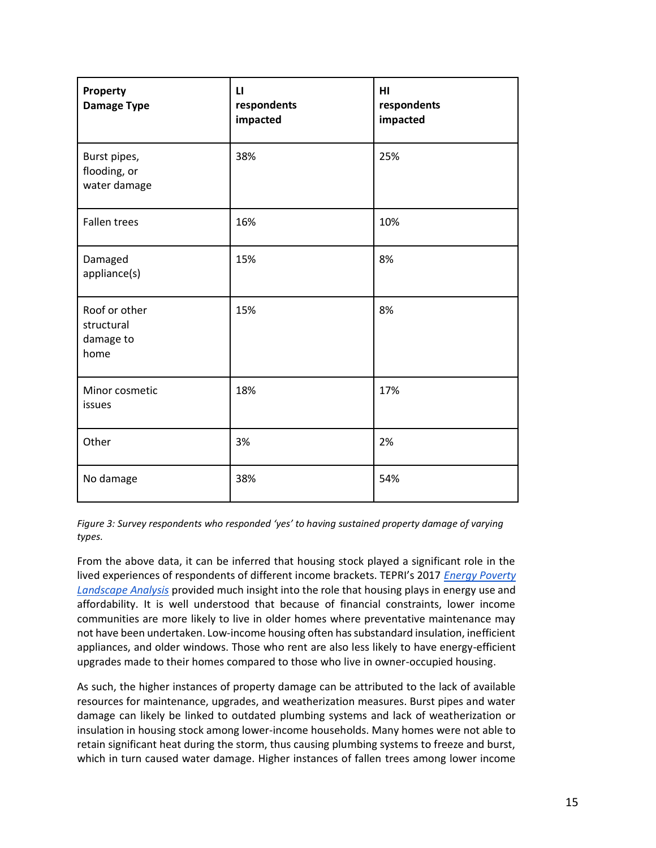| Property<br><b>Damage Type</b>                   | $\mathbf{u}$<br>respondents<br>impacted | H <sub>II</sub><br>respondents<br>impacted |
|--------------------------------------------------|-----------------------------------------|--------------------------------------------|
| Burst pipes,<br>flooding, or<br>water damage     | 38%                                     | 25%                                        |
| <b>Fallen trees</b>                              | 16%                                     | 10%                                        |
| Damaged<br>appliance(s)                          | 15%                                     | 8%                                         |
| Roof or other<br>structural<br>damage to<br>home | 15%                                     | 8%                                         |
| Minor cosmetic<br>issues                         | 18%                                     | 17%                                        |
| Other                                            | 3%                                      | 2%                                         |
| No damage                                        | 38%                                     | 54%                                        |

*Figure 3: Survey respondents who responded 'yes' to having sustained property damage of varying types.*

From the above data, it can be inferred that housing stock played a significant role in the lived experiences of respondents of different income brackets. TEPRI's 2017 *[Energy Poverty](https://txenergypoverty.org/wp-content/uploads/2017/05/TEPRI-Energy-Poverty-Research-Landscape-Analysis-May-2017.pdf)  [Landscape Analysis](https://txenergypoverty.org/wp-content/uploads/2017/05/TEPRI-Energy-Poverty-Research-Landscape-Analysis-May-2017.pdf)* provided much insight into the role that housing plays in energy use and affordability. It is well understood that because of financial constraints, lower income communities are more likely to live in older homes where preventative maintenance may not have been undertaken. Low-income housing often has substandard insulation, inefficient appliances, and older windows. Those who rent are also less likely to have energy-efficient upgrades made to their homes compared to those who live in owner-occupied housing.

As such, the higher instances of property damage can be attributed to the lack of available resources for maintenance, upgrades, and weatherization measures. Burst pipes and water damage can likely be linked to outdated plumbing systems and lack of weatherization or insulation in housing stock among lower-income households. Many homes were not able to retain significant heat during the storm, thus causing plumbing systems to freeze and burst, which in turn caused water damage. Higher instances of fallen trees among lower income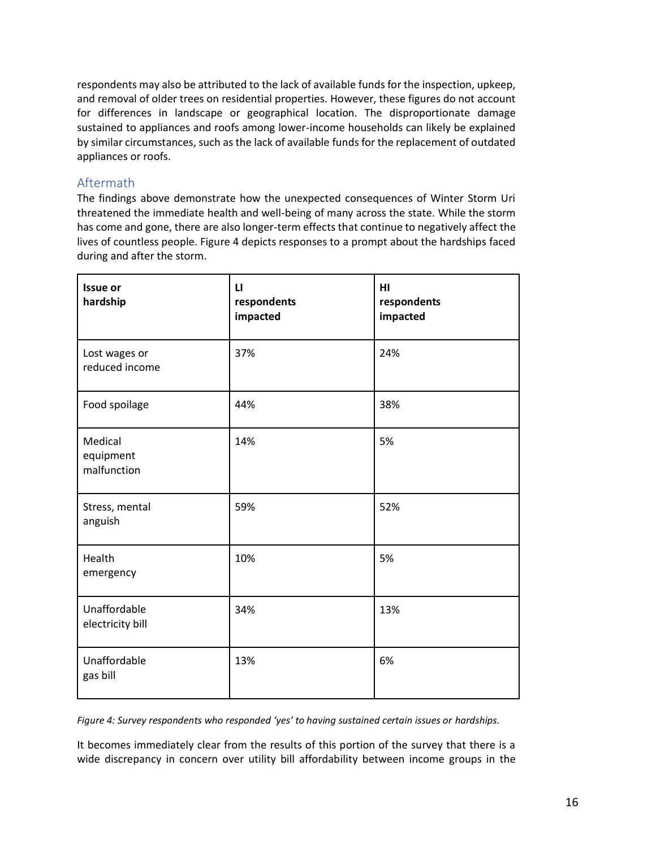respondents may also be attributed to the lack of available funds for the inspection, upkeep, and removal of older trees on residential properties. However, these figures do not account for differences in landscape or geographical location. The disproportionate damage sustained to appliances and roofs among lower-income households can likely be explained by similar circumstances, such as the lack of available funds for the replacement of outdated appliances or roofs.

### <span id="page-14-0"></span>Aftermath

The findings above demonstrate how the unexpected consequences of Winter Storm Uri threatened the immediate health and well-being of many across the state. While the storm has come and gone, there are also longer-term effects that continue to negatively affect the lives of countless people. Figure 4 depicts responses to a prompt about the hardships faced during and after the storm.

| <b>Issue or</b><br>hardship         | $\mathbf{u}$<br>respondents<br>impacted | H1<br>respondents<br>impacted |
|-------------------------------------|-----------------------------------------|-------------------------------|
| Lost wages or<br>reduced income     | 37%                                     | 24%                           |
| Food spoilage                       | 44%                                     | 38%                           |
| Medical<br>equipment<br>malfunction | 14%                                     | 5%                            |
| Stress, mental<br>anguish           | 59%                                     | 52%                           |
| Health<br>emergency                 | 10%                                     | 5%                            |
| Unaffordable<br>electricity bill    | 34%                                     | 13%                           |
| Unaffordable<br>gas bill            | 13%                                     | 6%                            |

Figure 4: Survey respondents who responded 'yes' to having sustained certain issues or hardships.

It becomes immediately clear from the results of this portion of the survey that there is a wide discrepancy in concern over utility bill affordability between income groups in the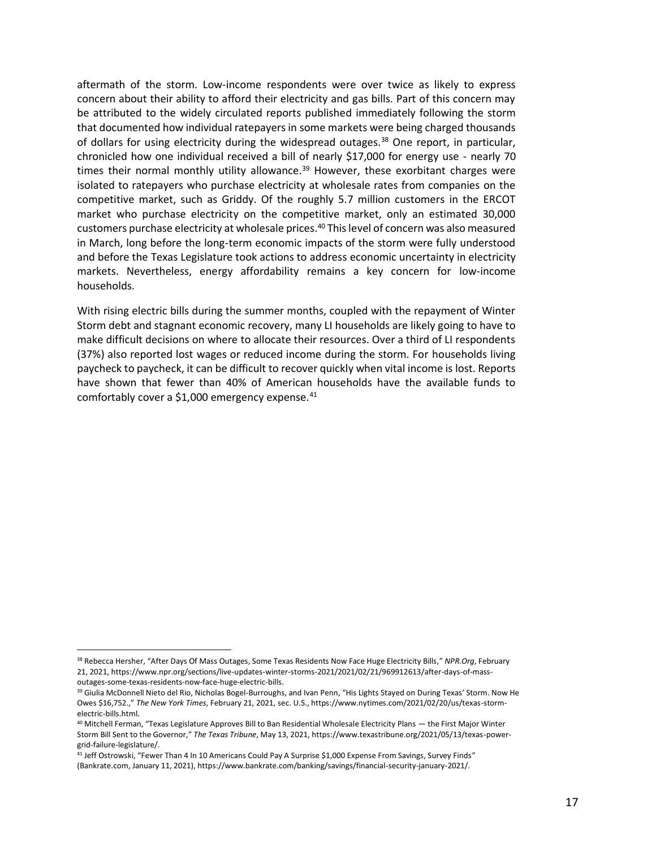aftermath of the storm. Low-income respondents were over twice as likely to express concern about their ability to afford their electricity and gas bills. Part of this concern may be attributed to the widely circulated reports published immediately following the storm that documented how individual ratepayers in some markets were being charged thousands of dollars for using electricity during the widespread outages.<sup>38</sup> One report, in particular, chronicled how one individual received a bill of nearly \$17,000 for energy use - nearly 70 times their normal monthly utility allowance. $39$  However, these exorbitant charges were isolated to ratepayers who purchase electricity at wholesale rates from companies on the competitive market, such as Griddy. Of the roughly 5.7 million customers in the ERCOT market who purchase electricity on the competitive market, only an estimated 30,000 customers purchase electricity at wholesale prices.<sup>40</sup> This level of concern was also measured in March, long before the long-term economic impacts of the storm were fully understood and before the Texas Legislature took actions to address economic uncertainty in electricity markets. Nevertheless, energy affordability remains a key concern for low-income households.

With rising electric bills during the summer months, coupled with the repayment of Winter Storm debt and stagnant economic recovery, many LI households are likely going to have to make difficult decisions on where to allocate their resources. Over a third of LI respondents (37%) also reported lost wages or reduced income during the storm. For households living paycheck to paycheck, it can be difficult to recover quickly when vital income is lost. Reports have shown that fewer than 40% of American households have the available funds to comfortably cover a \$1,000 emergency expense.<sup>41</sup>

<sup>38</sup> Rebecca Hersher, "After Days Of Mass Outages, Some Texas Residents Now Face Huge Electricity Bills," *NPR.Org*, February 21, 2021, https://www.npr.org/sections/live-updates-winter-storms-2021/2021/02/21/969912613/after-days-of-massoutages-some-texas-residents-now-face-huge-electric-bills.

<sup>&</sup>lt;sup>39</sup> Giulia McDonnell Nieto del Rio, Nicholas Bogel-Burroughs, and Ivan Penn, "His Lights Stayed on During Texas' Storm. Now He Owes \$16,752.," *The New York Times*, February 21, 2021, sec. U.S., https://www.nytimes.com/2021/02/20/us/texas-stormelectric-bills.html.

<sup>40</sup> Mitchell Ferman, "Texas Legislature Approves Bill to Ban Residential Wholesale Electricity Plans — the First Major Winter Storm Bill Sent to the Governor," *The Texas Tribune*, May 13, 2021, https://www.texastribune.org/2021/05/13/texas-powergrid-failure-legislature/.

<sup>&</sup>lt;sup>41</sup> Jeff Ostrowski, "Fewer Than 4 In 10 Americans Could Pay A Surprise \$1,000 Expense From Savings, Survey Finds" (Bankrate.com, January 11, 2021), https://www.bankrate.com/banking/savings/financial-security-january-2021/.